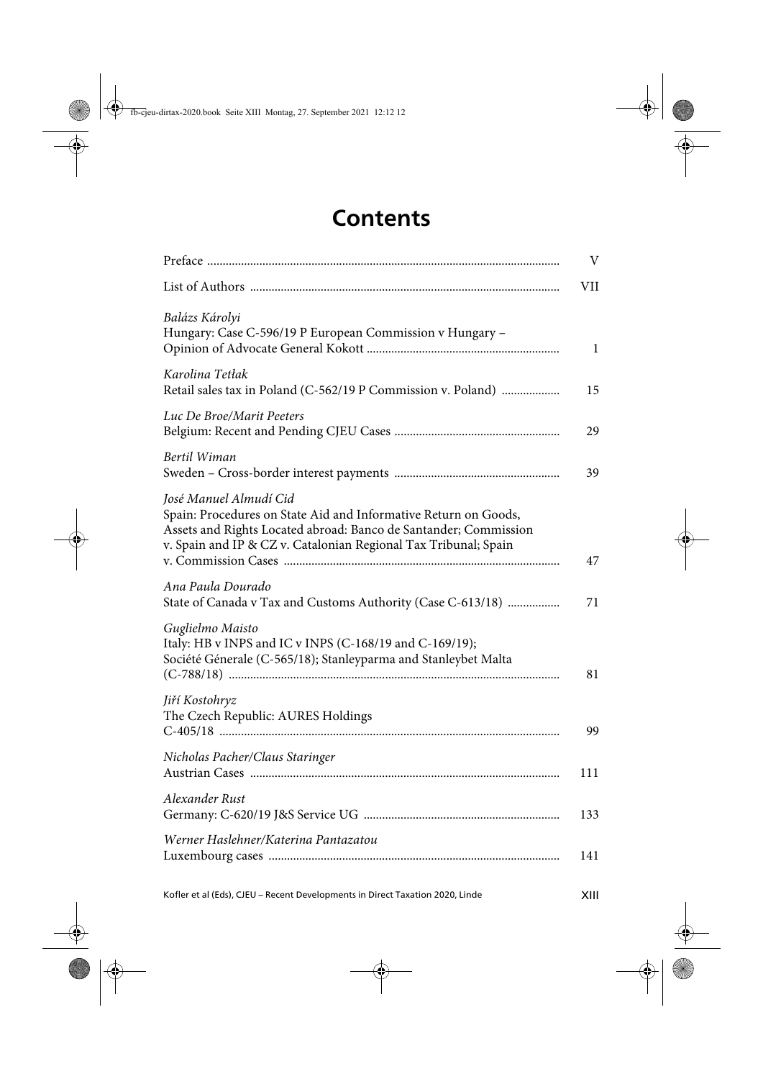## **Contents**

|                                                                                                                                                                                                                                  | V   |
|----------------------------------------------------------------------------------------------------------------------------------------------------------------------------------------------------------------------------------|-----|
|                                                                                                                                                                                                                                  | VII |
| Balázs Károlyi<br>Hungary: Case C-596/19 P European Commission v Hungary -                                                                                                                                                       | 1   |
| Karolina Tetłak<br>Retail sales tax in Poland (C-562/19 P Commission v. Poland)                                                                                                                                                  | 15  |
| Luc De Broe/Marit Peeters                                                                                                                                                                                                        | 29  |
| Bertil Wiman                                                                                                                                                                                                                     | 39  |
| José Manuel Almudí Cid<br>Spain: Procedures on State Aid and Informative Return on Goods,<br>Assets and Rights Located abroad: Banco de Santander; Commission<br>v. Spain and IP & CZ v. Catalonian Regional Tax Tribunal; Spain | 47  |
| Ana Paula Dourado<br>State of Canada v Tax and Customs Authority (Case C-613/18)                                                                                                                                                 | 71  |
| Guglielmo Maisto<br>Italy: HB v INPS and IC v INPS (C-168/19 and C-169/19);<br>Société Génerale (C-565/18); Stanleyparma and Stanleybet Malta                                                                                    | 81  |
| Jiří Kostohryz<br>The Czech Republic: AURES Holdings                                                                                                                                                                             | 99  |
| Nicholas Pacher/Claus Staringer                                                                                                                                                                                                  | 111 |
| Alexander Rust                                                                                                                                                                                                                   | 133 |
| Werner Haslehner/Katerina Pantazatou                                                                                                                                                                                             | 141 |